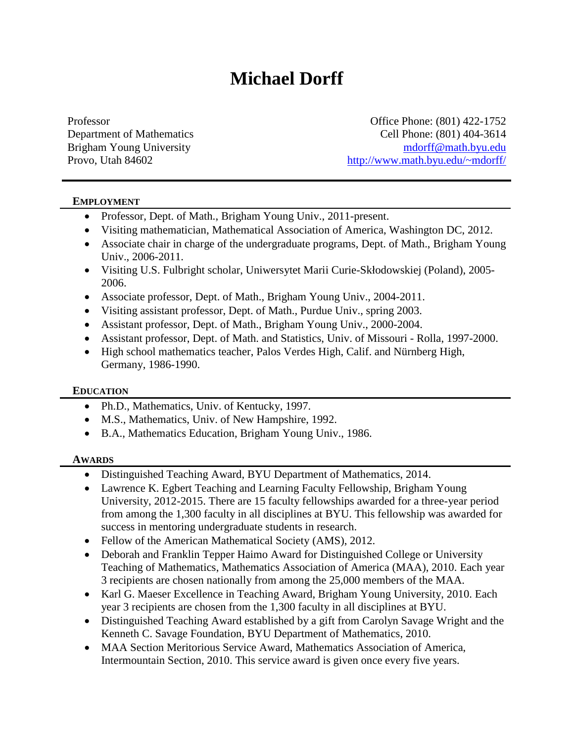# **Michael Dorff**

Professor **Office Phone: (801) 422-1752** Department of Mathematics Cell Phone: (801) 404-3614 Brigham Young University [mdorff@math.byu.edu](mailto:mdorff@math.byu.edu) Provo, Utah 84602 <http://www.math.byu.edu/~mdorff/>

#### **EMPLOYMENT**

- Professor, Dept. of Math., Brigham Young Univ., 2011-present.
- Visiting mathematician, Mathematical Association of America, Washington DC, 2012.
- Associate chair in charge of the undergraduate programs, Dept. of Math., Brigham Young Univ., 2006-2011.
- Visiting U.S. Fulbright scholar, Uniwersytet Marii Curie-Skłodowskiej (Poland), 2005- 2006.
- Associate professor, Dept. of Math., Brigham Young Univ., 2004-2011.
- Visiting assistant professor, Dept. of Math., Purdue Univ., spring 2003.
- Assistant professor, Dept. of Math., Brigham Young Univ., 2000-2004.
- Assistant professor, Dept. of Math. and Statistics, Univ. of Missouri Rolla, 1997-2000.
- High school mathematics teacher, Palos Verdes High, Calif. and Nürnberg High, Germany, 1986-1990.

#### **EDUCATION**

- Ph.D., Mathematics, Univ. of Kentucky, 1997.
- M.S., Mathematics, Univ. of New Hampshire, 1992.
- B.A., Mathematics Education, Brigham Young Univ., 1986.

#### **AWARDS**

- Distinguished Teaching Award, BYU Department of Mathematics, 2014.
- Lawrence K. Egbert Teaching and Learning Faculty Fellowship, Brigham Young University, 2012-2015. There are 15 faculty fellowships awarded for a three-year period from among the 1,300 faculty in all disciplines at BYU. This fellowship was awarded for success in mentoring undergraduate students in research.
- Fellow of the American Mathematical Society (AMS), 2012.
- Deborah and Franklin Tepper Haimo Award for Distinguished College or University Teaching of Mathematics, Mathematics Association of America (MAA), 2010. Each year 3 recipients are chosen nationally from among the 25,000 members of the MAA.
- Karl G. Maeser Excellence in Teaching Award, Brigham Young University, 2010. Each year 3 recipients are chosen from the 1,300 faculty in all disciplines at BYU.
- Distinguished Teaching Award established by a gift from Carolyn Savage Wright and the Kenneth C. Savage Foundation, BYU Department of Mathematics, 2010.
- MAA Section Meritorious Service Award, Mathematics Association of America, Intermountain Section, 2010. This service award is given once every five years.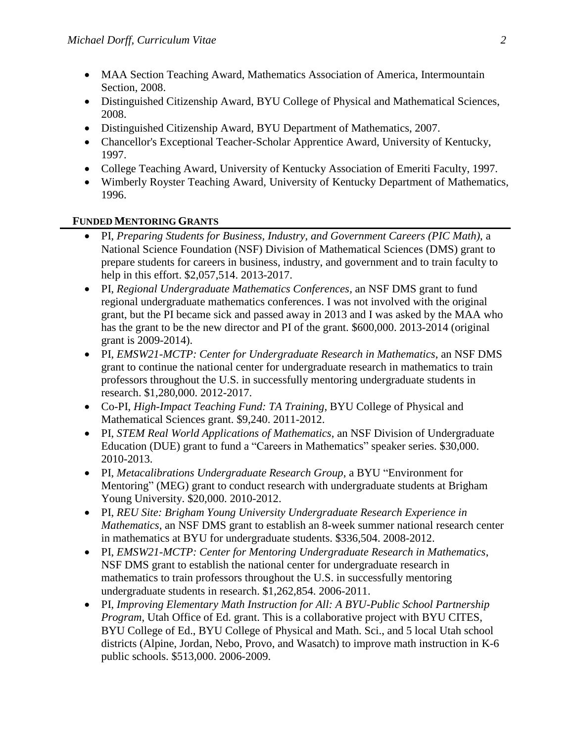- MAA Section Teaching Award, Mathematics Association of America, Intermountain Section, 2008.
- Distinguished Citizenship Award, BYU College of Physical and Mathematical Sciences, 2008.
- Distinguished Citizenship Award, BYU Department of Mathematics, 2007.
- Chancellor's Exceptional Teacher-Scholar Apprentice Award, University of Kentucky, 1997.
- College Teaching Award, University of Kentucky Association of Emeriti Faculty, 1997.
- Wimberly Royster Teaching Award, University of Kentucky Department of Mathematics, 1996.

#### **FUNDED MENTORING GRANTS**

- PI, *Preparing Students for Business, Industry, and Government Careers (PIC Math)*, a National Science Foundation (NSF) Division of Mathematical Sciences (DMS) grant to prepare students for careers in business, industry, and government and to train faculty to help in this effort. \$2,057,514. 2013-2017.
- PI, *Regional Undergraduate Mathematics Conferences,* an NSF DMS grant to fund regional undergraduate mathematics conferences. I was not involved with the original grant, but the PI became sick and passed away in 2013 and I was asked by the MAA who has the grant to be the new director and PI of the grant. \$600,000. 2013-2014 (original grant is 2009-2014).
- PI, *EMSW21-MCTP: Center for Undergraduate Research in Mathematics*, an NSF DMS grant to continue the national center for undergraduate research in mathematics to train professors throughout the U.S. in successfully mentoring undergraduate students in research. \$1,280,000. 2012-2017.
- Co-PI, *High-Impact Teaching Fund: TA Training*, BYU College of Physical and Mathematical Sciences grant. \$9,240. 2011-2012.
- PI, *STEM Real World Applications of Mathematics*, an NSF Division of Undergraduate Education (DUE) grant to fund a "Careers in Mathematics" speaker series. \$30,000. 2010-2013.
- PI, *Metacalibrations Undergraduate Research Group*, a BYU "Environment for Mentoring" (MEG) grant to conduct research with undergraduate students at Brigham Young University. \$20,000. 2010-2012.
- PI, *REU Site: Brigham Young University Undergraduate Research Experience in Mathematics*, an NSF DMS grant to establish an 8-week summer national research center in mathematics at BYU for undergraduate students. \$336,504. 2008-2012.
- PI, *EMSW21-MCTP: Center for Mentoring Undergraduate Research in Mathematics*, NSF DMS grant to establish the national center for undergraduate research in mathematics to train professors throughout the U.S. in successfully mentoring undergraduate students in research. \$1,262,854. 2006-2011.
- PI, *Improving Elementary Math Instruction for All: A BYU-Public School Partnership Program*, Utah Office of Ed. grant. This is a collaborative project with BYU CITES, BYU College of Ed., BYU College of Physical and Math. Sci., and 5 local Utah school districts (Alpine, Jordan, Nebo, Provo, and Wasatch) to improve math instruction in K-6 public schools. \$513,000. 2006-2009.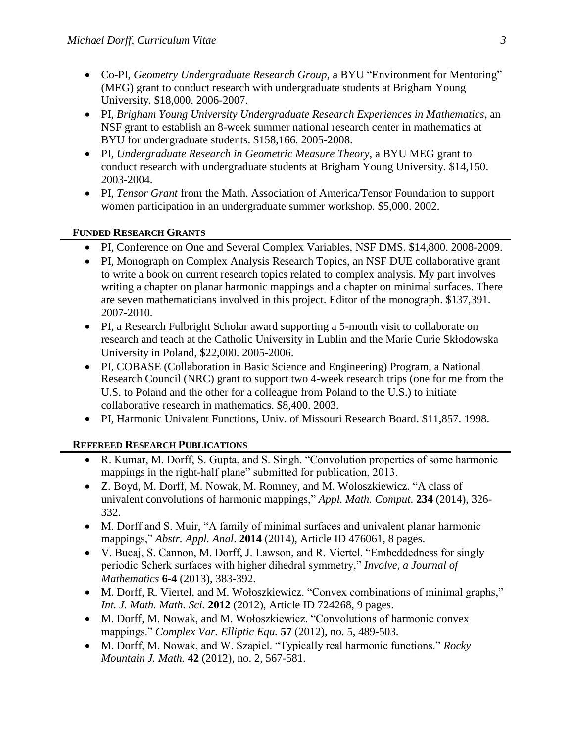- Co-PI, *Geometry Undergraduate Research Group*, a BYU "Environment for Mentoring" (MEG) grant to conduct research with undergraduate students at Brigham Young University. \$18,000. 2006-2007.
- PI, *Brigham Young University Undergraduate Research Experiences in Mathematics*, an NSF grant to establish an 8-week summer national research center in mathematics at BYU for undergraduate students. \$158,166. 2005-2008.
- PI, *Undergraduate Research in Geometric Measure Theory*, a BYU MEG grant to conduct research with undergraduate students at Brigham Young University. \$14,150. 2003-2004.
- PI, *Tensor Grant* from the Math. Association of America/Tensor Foundation to support women participation in an undergraduate summer workshop. \$5,000. 2002.

#### **FUNDED RESEARCH GRANTS**

- PI, Conference on One and Several Complex Variables, NSF DMS. \$14,800. 2008-2009.
- PI, Monograph on Complex Analysis Research Topics, an NSF DUE collaborative grant to write a book on current research topics related to complex analysis. My part involves writing a chapter on planar harmonic mappings and a chapter on minimal surfaces. There are seven mathematicians involved in this project. Editor of the monograph. \$137,391. 2007-2010.
- PI, a Research Fulbright Scholar award supporting a 5-month visit to collaborate on research and teach at the Catholic University in Lublin and the Marie Curie Skłodowska University in Poland, \$22,000. 2005-2006.
- PI, COBASE (Collaboration in Basic Science and Engineering) Program, a National Research Council (NRC) grant to support two 4-week research trips (one for me from the U.S. to Poland and the other for a colleague from Poland to the U.S.) to initiate collaborative research in mathematics. \$8,400. 2003.
- PI, Harmonic Univalent Functions, Univ. of Missouri Research Board. \$11,857. 1998.

#### **REFEREED RESEARCH PUBLICATIONS**

- R. Kumar, M. Dorff, S. Gupta, and S. Singh. "Convolution properties of some harmonic mappings in the right-half plane" submitted for publication, 2013.
- Z. Boyd, M. Dorff, M. Nowak, M. Romney, and M. Woloszkiewicz. "A class of univalent convolutions of harmonic mappings," *Appl. Math. Comput*. **234** (2014), 326- 332.
- M. Dorff and S. Muir, "A family of minimal surfaces and univalent planar harmonic mappings," *Abstr. Appl. Anal*. **2014** (2014), Article ID 476061, 8 pages.
- V. Bucaj, S. Cannon, M. Dorff, J. Lawson, and R. Viertel. "Embeddedness for singly periodic Scherk surfaces with higher dihedral symmetry," *Involve, a Journal of Mathematics* **6-4** (2013), 383-392.
- M. Dorff, R. Viertel, and M. Wołoszkiewicz. "Convex combinations of minimal graphs," *Int. J. Math. Math. Sci.* **2012** (2012), Article ID 724268, 9 pages.
- M. Dorff, M. Nowak, and M. Wołoszkiewicz. "Convolutions of harmonic convex mappings." *Complex Var. Elliptic Equ.* **57** (2012), no. 5, 489-503.
- M. Dorff, M. Nowak, and W. Szapiel. "Typically real harmonic functions." *Rocky Mountain J. Math.* **42** (2012), no. 2, 567-581.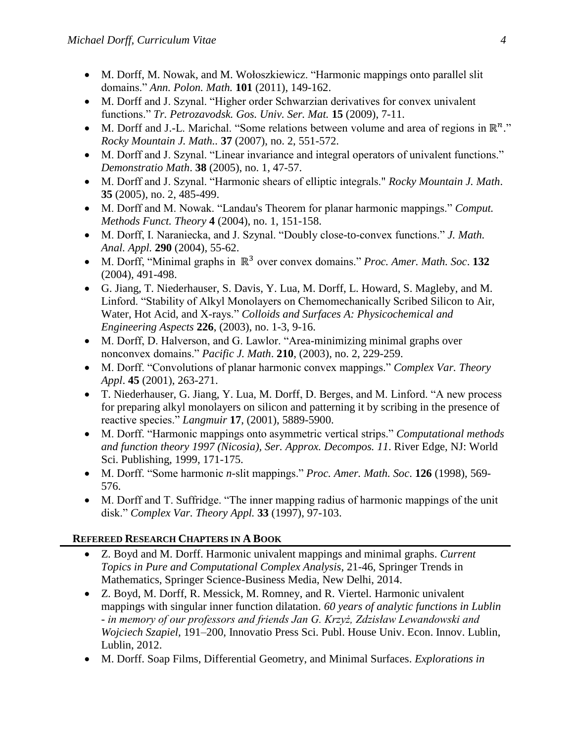- M. Dorff, M. Nowak, and M. Wołoszkiewicz. "Harmonic mappings onto parallel slit domains." *Ann. Polon. Math.* **101** (2011), 149-162.
- M. Dorff and J. Szynal. "Higher order Schwarzian derivatives for convex univalent functions." *Tr. Petrozavodsk. Gos. Univ. Ser. Mat.* **15** (2009), 7-11.
- M. Dorff and J.-L. Marichal. "Some relations between volume and area of regions in  $\mathbb{R}^n$ ." *Rocky Mountain J. Math..* **37** (2007), no. 2, 551-572.
- M. Dorff and J. Szynal. "Linear invariance and integral operators of univalent functions." *Demonstratio Math*. **38** (2005), no. 1, 47-57.
- M. Dorff and J. Szynal. "Harmonic shears of elliptic integrals." *Rocky Mountain J. Math*. **35** (2005), no. 2, 485-499.
- M. Dorff and M. Nowak. "Landau's Theorem for planar harmonic mappings." *Comput. Methods Funct. Theory* **4** (2004), no. 1, 151-158.
- M. Dorff, I. Naraniecka, and J. Szynal. "Doubly close-to-convex functions." *J. Math. Anal. Appl.* **290** (2004), 55-62.
- M. Dorff, "Minimal graphs in ℝ<sup>3</sup> over convex domains." *Proc. Amer. Math. Soc*. **132** (2004), 491-498.
- G. Jiang, T. Niederhauser, S. Davis, Y. Lua, M. Dorff, L. Howard, S. Magleby, and M. Linford. "Stability of Alkyl Monolayers on Chemomechanically Scribed Silicon to Air, Water, Hot Acid, and X-rays." *Colloids and Surfaces A: Physicochemical and Engineering Aspects* **226**, (2003), no. 1-3, 9-16.
- M. Dorff, D. Halverson, and G. Lawlor. "Area-minimizing minimal graphs over nonconvex domains." *Pacific J. Math*. **210**, (2003), no. 2, 229-259.
- M. Dorff. "Convolutions of planar harmonic convex mappings." *Complex Var. Theory Appl*. **45** (2001), 263-271.
- T. Niederhauser, G. Jiang, Y. Lua, M. Dorff, D. Berges, and M. Linford. "A new process for preparing alkyl monolayers on silicon and patterning it by scribing in the presence of reactive species." *Langmuir* **17**, (2001), 5889-5900.
- M. Dorff. "Harmonic mappings onto asymmetric vertical strips." *Computational methods and function theory 1997 (Nicosia), Ser. Approx. Decompos. 11*. River Edge, NJ: World Sci. Publishing, 1999, 171-175.
- M. Dorff. "Some harmonic *n*-slit mappings." *Proc. Amer. Math. Soc*. **126** (1998), 569- 576.
- M. Dorff and T. Suffridge. "The inner mapping radius of harmonic mappings of the unit disk." *Complex Var. Theory Appl.* **33** (1997), 97-103.

# **REFEREED RESEARCH CHAPTERS IN A BOOK**

- Z. Boyd and M. Dorff. Harmonic univalent mappings and minimal graphs. *Current Topics in Pure and Computational Complex Analysis*, 21-46, Springer Trends in Mathematics, Springer Science-Business Media, New Delhi, 2014.
- Z. Boyd, M. Dorff, R. Messick, M. Romney, and R. Viertel. Harmonic univalent mappings with singular inner function dilatation. *60 years of analytic functions in Lublin - in memory of our professors and friends Jan G. Krzyż, Zdzisław Lewandowski and Wojciech Szapiel,* 191–200, Innovatio Press Sci. Publ. House Univ. Econ. Innov. Lublin, Lublin, 2012.
- M. Dorff. Soap Films, Differential Geometry, and Minimal Surfaces. *Explorations in*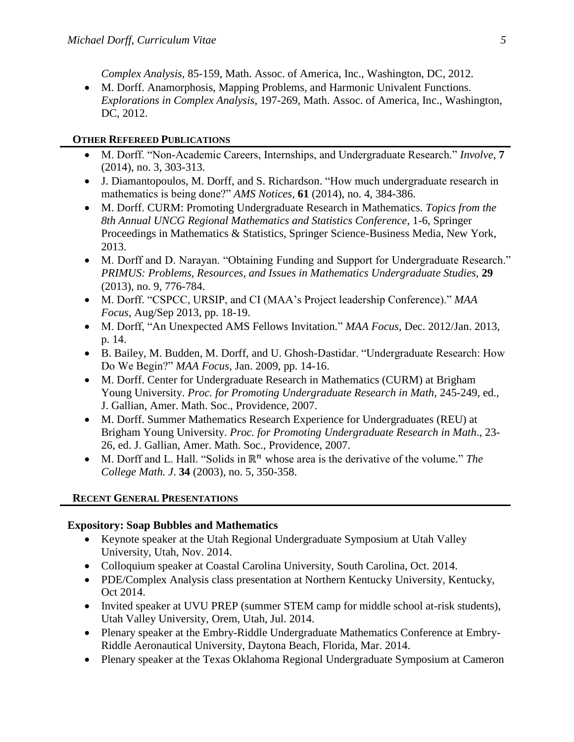*Complex Analysis*, 85-159, Math. Assoc. of America, Inc., Washington, DC, 2012.

 M. Dorff. Anamorphosis, Mapping Problems, and Harmonic Univalent Functions. *Explorations in Complex Analysis*, 197-269, Math. Assoc. of America, Inc., Washington, DC, 2012.

### **OTHER REFEREED PUBLICATIONS**

- M. Dorff. "Non-Academic Careers, Internships, and Undergraduate Research." *Involve*, **7** (2014), no. 3, 303-313.
- J. Diamantopoulos, M. Dorff, and S. Richardson. "How much undergraduate research in mathematics is being done?" *AMS Notices*, **61** (2014), no. 4, 384-386.
- M. Dorff. CURM: Promoting Undergraduate Research in Mathematics. *Topics from the 8th Annual UNCG Regional Mathematics and Statistics Conference*, 1-6, Springer Proceedings in Mathematics & Statistics, Springer Science-Business Media, New York, 2013.
- M. Dorff and D. Narayan. "Obtaining Funding and Support for Undergraduate Research." *PRIMUS: Problems, Resources, and Issues in Mathematics Undergraduate Studies,* **29** (2013), no. 9, 776-784.
- M. Dorff. "CSPCC, URSIP, and CI (MAA's Project leadership Conference)." *MAA Focus*, Aug/Sep 2013, pp. 18-19.
- M. Dorff, "An Unexpected AMS Fellows Invitation." *MAA Focus*, Dec. 2012/Jan. 2013, p. 14.
- B. Bailey, M. Budden, M. Dorff, and U. Ghosh-Dastidar. "Undergraduate Research: How Do We Begin?" *MAA Focus*, Jan. 2009, pp. 14-16.
- M. Dorff. Center for Undergraduate Research in Mathematics (CURM) at Brigham Young University. *Proc. for Promoting Undergraduate Research in Math*, 245-249, ed., J. Gallian, Amer. Math. Soc., Providence, 2007.
- M. Dorff. Summer Mathematics Research Experience for Undergraduates (REU) at Brigham Young University. *Proc. for Promoting Undergraduate Research in Math*., 23- 26, ed. J. Gallian, Amer. Math. Soc., Providence, 2007.
- $M.$  Dorff and L. Hall. "Solids in  $\mathbb{R}^n$  whose area is the derivative of the volume." *The College Math. J*. **34** (2003), no. 5, 350-358.

# **RECENT GENERAL PRESENTATIONS**

# **Expository: Soap Bubbles and Mathematics**

- Keynote speaker at the Utah Regional Undergraduate Symposium at Utah Valley University, Utah, Nov. 2014.
- Colloquium speaker at Coastal Carolina University, South Carolina, Oct. 2014.
- PDE/Complex Analysis class presentation at Northern Kentucky University, Kentucky, Oct 2014.
- Invited speaker at UVU PREP (summer STEM camp for middle school at-risk students), Utah Valley University, Orem, Utah, Jul. 2014.
- Plenary speaker at the Embry-Riddle Undergraduate Mathematics Conference at Embry-Riddle Aeronautical University, Daytona Beach, Florida, Mar. 2014.
- Plenary speaker at the Texas Oklahoma Regional Undergraduate Symposium at Cameron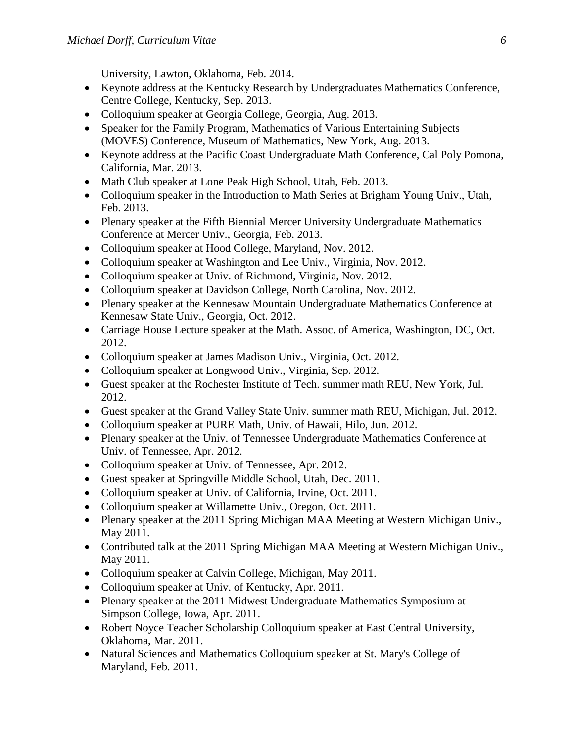University, Lawton, Oklahoma, Feb. 2014.

- Keynote address at the Kentucky Research by Undergraduates Mathematics Conference, Centre College, Kentucky, Sep. 2013.
- Colloquium speaker at Georgia College, Georgia, Aug. 2013.
- Speaker for the Family Program, Mathematics of Various Entertaining Subjects (MOVES) Conference, Museum of Mathematics, New York, Aug. 2013.
- Keynote address at the Pacific Coast Undergraduate Math Conference, Cal Poly Pomona, California, Mar. 2013.
- Math Club speaker at Lone Peak High School, Utah, Feb. 2013.
- Colloquium speaker in the Introduction to Math Series at Brigham Young Univ., Utah, Feb. 2013.
- Plenary speaker at the Fifth Biennial Mercer University Undergraduate Mathematics Conference at Mercer Univ., Georgia, Feb. 2013.
- Colloquium speaker at Hood College, Maryland, Nov. 2012.
- Colloquium speaker at Washington and Lee Univ., Virginia, Nov. 2012.
- Colloquium speaker at Univ. of Richmond, Virginia, Nov. 2012.
- Colloquium speaker at Davidson College, North Carolina, Nov. 2012.
- Plenary speaker at the Kennesaw Mountain Undergraduate Mathematics Conference at Kennesaw State Univ., Georgia, Oct. 2012.
- Carriage House Lecture speaker at the Math. Assoc. of America, Washington, DC, Oct. 2012.
- Colloquium speaker at James Madison Univ., Virginia, Oct. 2012.
- Colloquium speaker at Longwood Univ., Virginia, Sep. 2012.
- Guest speaker at the Rochester Institute of Tech. summer math REU, New York, Jul. 2012.
- Guest speaker at the Grand Valley State Univ. summer math REU, Michigan, Jul. 2012.
- Colloquium speaker at PURE Math, Univ. of Hawaii, Hilo, Jun. 2012.
- Plenary speaker at the Univ. of Tennessee Undergraduate Mathematics Conference at Univ. of Tennessee, Apr. 2012.
- Colloquium speaker at Univ. of Tennessee, Apr. 2012.
- Guest speaker at Springville Middle School, Utah, Dec. 2011.
- Colloquium speaker at Univ. of California, Irvine, Oct. 2011.
- Colloquium speaker at Willamette Univ., Oregon, Oct. 2011.
- Plenary speaker at the 2011 Spring Michigan MAA Meeting at Western Michigan Univ., May 2011.
- Contributed talk at the 2011 Spring Michigan MAA Meeting at Western Michigan Univ., May 2011.
- Colloquium speaker at Calvin College, Michigan, May 2011.
- Colloquium speaker at Univ. of Kentucky, Apr. 2011.
- Plenary speaker at the 2011 Midwest Undergraduate Mathematics Symposium at Simpson College, Iowa, Apr. 2011.
- Robert Noyce Teacher Scholarship Colloquium speaker at East Central University, Oklahoma, Mar. 2011.
- Natural Sciences and Mathematics Colloquium speaker at St. Mary's College of Maryland, Feb. 2011.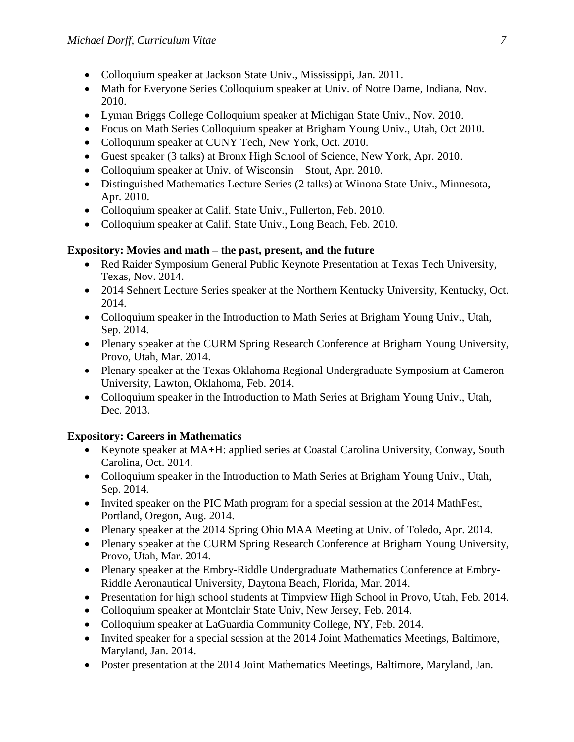- Colloquium speaker at Jackson State Univ., Mississippi, Jan. 2011.
- Math for Everyone Series Colloquium speaker at Univ. of Notre Dame, Indiana, Nov. 2010.
- Lyman Briggs College Colloquium speaker at Michigan State Univ., Nov. 2010.
- Focus on Math Series Colloquium speaker at Brigham Young Univ., Utah, Oct 2010.
- Colloquium speaker at CUNY Tech, New York, Oct. 2010.
- Guest speaker (3 talks) at Bronx High School of Science, New York, Apr. 2010.
- Colloquium speaker at Univ. of Wisconsin Stout, Apr. 2010.
- Distinguished Mathematics Lecture Series (2 talks) at Winona State Univ., Minnesota, Apr. 2010.
- Colloquium speaker at Calif. State Univ., Fullerton, Feb. 2010.
- Colloquium speaker at Calif. State Univ., Long Beach, Feb. 2010.

## **Expository: Movies and math – the past, present, and the future**

- Red Raider Symposium General Public Keynote Presentation at Texas Tech University, Texas, Nov. 2014.
- 2014 Sehnert Lecture Series speaker at the Northern Kentucky University, Kentucky, Oct. 2014.
- Colloquium speaker in the Introduction to Math Series at Brigham Young Univ., Utah, Sep. 2014.
- Plenary speaker at the CURM Spring Research Conference at Brigham Young University, Provo, Utah, Mar. 2014.
- Plenary speaker at the Texas Oklahoma Regional Undergraduate Symposium at Cameron University, Lawton, Oklahoma, Feb. 2014.
- Colloquium speaker in the Introduction to Math Series at Brigham Young Univ., Utah, Dec. 2013.

# **Expository: Careers in Mathematics**

- Keynote speaker at MA+H: applied series at Coastal Carolina University, Conway, South Carolina, Oct. 2014.
- Colloquium speaker in the Introduction to Math Series at Brigham Young Univ., Utah, Sep. 2014.
- Invited speaker on the PIC Math program for a special session at the 2014 MathFest, Portland, Oregon, Aug. 2014.
- Plenary speaker at the 2014 Spring Ohio MAA Meeting at Univ. of Toledo, Apr. 2014.
- Plenary speaker at the CURM Spring Research Conference at Brigham Young University, Provo, Utah, Mar. 2014.
- Plenary speaker at the Embry-Riddle Undergraduate Mathematics Conference at Embry-Riddle Aeronautical University, Daytona Beach, Florida, Mar. 2014.
- Presentation for high school students at Timpview High School in Provo, Utah, Feb. 2014.
- Colloquium speaker at Montclair State Univ, New Jersey, Feb. 2014.
- Colloquium speaker at LaGuardia Community College, NY, Feb. 2014.
- Invited speaker for a special session at the 2014 Joint Mathematics Meetings, Baltimore, Maryland, Jan. 2014.
- Poster presentation at the 2014 Joint Mathematics Meetings, Baltimore, Maryland, Jan.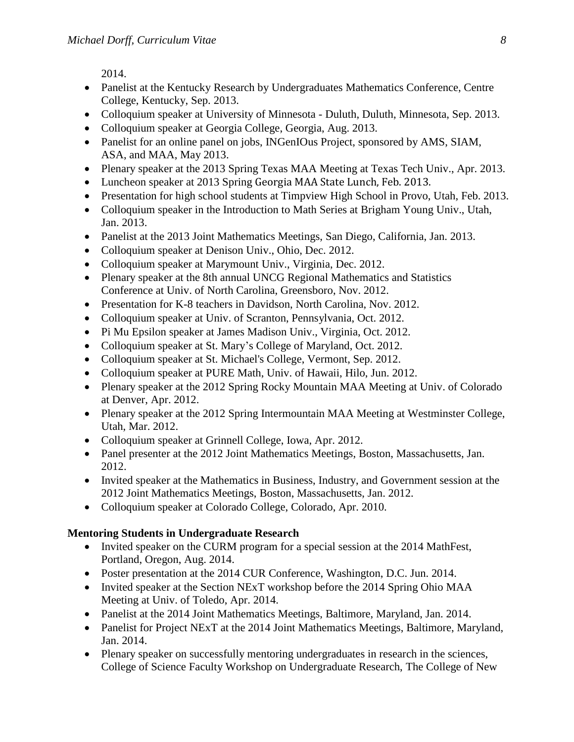2014.

- Panelist at the Kentucky Research by Undergraduates Mathematics Conference, Centre College, Kentucky, Sep. 2013.
- Colloquium speaker at University of Minnesota Duluth, Duluth, Minnesota, Sep. 2013.
- Colloquium speaker at Georgia College, Georgia, Aug. 2013.
- Panelist for an online panel on jobs, INGenIOus Project, sponsored by AMS, SIAM, ASA, and MAA, May 2013.
- Plenary speaker at the 2013 Spring Texas MAA Meeting at Texas Tech Univ., Apr. 2013.
- Luncheon speaker at 2013 Spring Georgia MAA State Lunch, Feb. 2013.
- Presentation for high school students at Timpview High School in Provo, Utah, Feb. 2013.
- Colloquium speaker in the Introduction to Math Series at Brigham Young Univ., Utah, Jan. 2013.
- Panelist at the 2013 Joint Mathematics Meetings, San Diego, California, Jan. 2013.
- Colloquium speaker at Denison Univ., Ohio, Dec. 2012.
- Colloquium speaker at Marymount Univ., Virginia, Dec. 2012.
- Plenary speaker at the 8th annual UNCG Regional Mathematics and Statistics Conference at Univ. of North Carolina, Greensboro, Nov. 2012.
- Presentation for K-8 teachers in Davidson, North Carolina, Nov. 2012.
- Colloquium speaker at Univ. of Scranton, Pennsylvania, Oct. 2012.
- Pi Mu Epsilon speaker at James Madison Univ., Virginia, Oct. 2012.
- Colloquium speaker at St. Mary's College of Maryland, Oct. 2012.
- Colloquium speaker at St. Michael's College, Vermont, Sep. 2012.
- Colloquium speaker at PURE Math, Univ. of Hawaii, Hilo, Jun. 2012.
- Plenary speaker at the 2012 Spring Rocky Mountain MAA Meeting at Univ. of Colorado at Denver, Apr. 2012.
- Plenary speaker at the 2012 Spring Intermountain MAA Meeting at Westminster College, Utah, Mar. 2012.
- Colloquium speaker at Grinnell College, Iowa, Apr. 2012.
- Panel presenter at the 2012 Joint Mathematics Meetings, Boston, Massachusetts, Jan. 2012.
- Invited speaker at the Mathematics in Business, Industry, and Government session at the 2012 Joint Mathematics Meetings, Boston, Massachusetts, Jan. 2012.
- Colloquium speaker at Colorado College, Colorado, Apr. 2010.

#### **Mentoring Students in Undergraduate Research**

- Invited speaker on the CURM program for a special session at the 2014 MathFest, Portland, Oregon, Aug. 2014.
- Poster presentation at the 2014 CUR Conference, Washington, D.C. Jun. 2014.
- Invited speaker at the Section NExT workshop before the 2014 Spring Ohio MAA Meeting at Univ. of Toledo, Apr. 2014.
- Panelist at the 2014 Joint Mathematics Meetings, Baltimore, Maryland, Jan. 2014.
- Panelist for Project NExT at the 2014 Joint Mathematics Meetings, Baltimore, Maryland, Jan. 2014.
- Plenary speaker on successfully mentoring undergraduates in research in the sciences, College of Science Faculty Workshop on Undergraduate Research, The College of New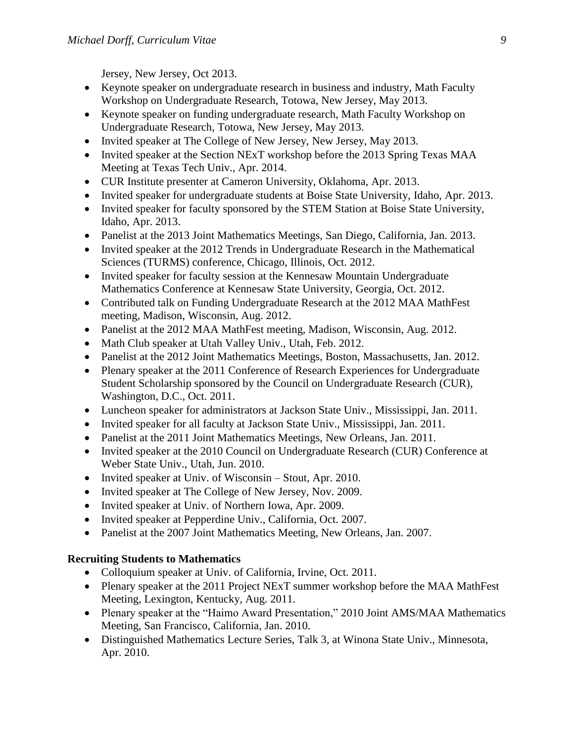Jersey, New Jersey, Oct 2013.

- Keynote speaker on undergraduate research in business and industry, Math Faculty Workshop on Undergraduate Research, Totowa, New Jersey, May 2013.
- Keynote speaker on funding undergraduate research, Math Faculty Workshop on Undergraduate Research, Totowa, New Jersey, May 2013.
- Invited speaker at The College of New Jersey, New Jersey, May 2013.
- Invited speaker at the Section NExT workshop before the 2013 Spring Texas MAA Meeting at Texas Tech Univ., Apr. 2014.
- CUR Institute presenter at Cameron University, Oklahoma, Apr. 2013.
- Invited speaker for undergraduate students at Boise State University, Idaho, Apr. 2013.
- Invited speaker for faculty sponsored by the STEM Station at Boise State University, Idaho, Apr. 2013.
- Panelist at the 2013 Joint Mathematics Meetings, San Diego, California, Jan. 2013.
- Invited speaker at the 2012 Trends in Undergraduate Research in the Mathematical Sciences (TURMS) conference, Chicago, Illinois, Oct. 2012.
- Invited speaker for faculty session at the Kennesaw Mountain Undergraduate Mathematics Conference at Kennesaw State University, Georgia, Oct. 2012.
- Contributed talk on Funding Undergraduate Research at the 2012 MAA MathFest meeting, Madison, Wisconsin, Aug. 2012.
- Panelist at the 2012 MAA MathFest meeting, Madison, Wisconsin, Aug. 2012.
- Math Club speaker at Utah Valley Univ., Utah, Feb. 2012.
- Panelist at the 2012 Joint Mathematics Meetings, Boston, Massachusetts, Jan. 2012.
- Plenary speaker at the 2011 Conference of Research Experiences for Undergraduate Student Scholarship sponsored by the Council on Undergraduate Research (CUR), Washington, D.C., Oct. 2011.
- Luncheon speaker for administrators at Jackson State Univ., Mississippi, Jan. 2011.
- Invited speaker for all faculty at Jackson State Univ., Mississippi, Jan. 2011.
- Panelist at the 2011 Joint Mathematics Meetings, New Orleans, Jan. 2011.
- Invited speaker at the 2010 Council on Undergraduate Research (CUR) Conference at Weber State Univ., Utah, Jun. 2010.
- Invited speaker at Univ. of Wisconsin Stout, Apr. 2010.
- Invited speaker at The College of New Jersey, Nov. 2009.
- Invited speaker at Univ. of Northern Iowa, Apr. 2009.
- Invited speaker at Pepperdine Univ., California, Oct. 2007.
- Panelist at the 2007 Joint Mathematics Meeting, New Orleans, Jan. 2007.

# **Recruiting Students to Mathematics**

- Colloquium speaker at Univ. of California, Irvine, Oct. 2011.
- Plenary speaker at the 2011 Project NExT summer workshop before the MAA MathFest Meeting, Lexington, Kentucky, Aug. 2011.
- Plenary speaker at the "Haimo Award Presentation," 2010 Joint AMS/MAA Mathematics Meeting, San Francisco, California, Jan. 2010.
- Distinguished Mathematics Lecture Series, Talk 3, at Winona State Univ., Minnesota, Apr. 2010.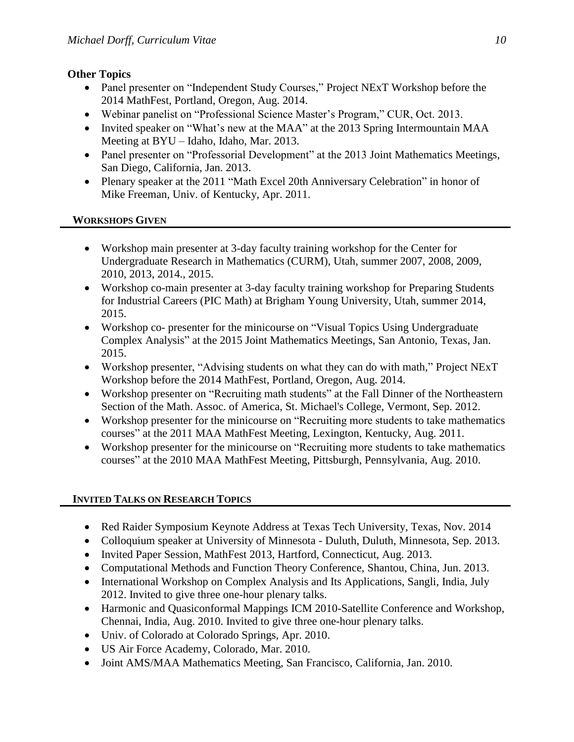# **Other Topics**

- Panel presenter on "Independent Study Courses," Project NExT Workshop before the 2014 MathFest, Portland, Oregon, Aug. 2014.
- Webinar panelist on "Professional Science Master's Program," CUR, Oct. 2013.
- Invited speaker on "What's new at the MAA" at the 2013 Spring Intermountain MAA Meeting at BYU – Idaho, Idaho, Mar. 2013.
- Panel presenter on "Professorial Development" at the 2013 Joint Mathematics Meetings, San Diego, California, Jan. 2013.
- Plenary speaker at the 2011 "Math Excel 20th Anniversary Celebration" in honor of Mike Freeman, Univ. of Kentucky, Apr. 2011.

# **WORKSHOPS GIVEN**

- Workshop main presenter at 3-day faculty training workshop for the Center for Undergraduate Research in Mathematics (CURM), Utah, summer 2007, 2008, 2009, 2010, 2013, 2014., 2015.
- Workshop co-main presenter at 3-day faculty training workshop for Preparing Students for Industrial Careers (PIC Math) at Brigham Young University, Utah, summer 2014, 2015.
- Workshop co- presenter for the minicourse on "Visual Topics Using Undergraduate Complex Analysis" at the 2015 Joint Mathematics Meetings, San Antonio, Texas, Jan. 2015.
- Workshop presenter, "Advising students on what they can do with math," Project NExT Workshop before the 2014 MathFest, Portland, Oregon, Aug. 2014.
- Workshop presenter on "Recruiting math students" at the Fall Dinner of the Northeastern Section of the Math. Assoc. of America, St. Michael's College, Vermont, Sep. 2012.
- Workshop presenter for the minicourse on "Recruiting more students to take mathematics courses" at the 2011 MAA MathFest Meeting, Lexington, Kentucky, Aug. 2011.
- Workshop presenter for the minicourse on "Recruiting more students to take mathematics courses" at the 2010 MAA MathFest Meeting, Pittsburgh, Pennsylvania, Aug. 2010.

# **INVITED TALKS ON RESEARCH TOPICS**

- Red Raider Symposium Keynote Address at Texas Tech University, Texas, Nov. 2014
- Colloquium speaker at University of Minnesota Duluth, Duluth, Minnesota, Sep. 2013.
- Invited Paper Session, MathFest 2013, Hartford, Connecticut, Aug. 2013.
- Computational Methods and Function Theory Conference, Shantou, China, Jun. 2013.
- International Workshop on Complex Analysis and Its Applications, Sangli, India, July 2012. Invited to give three one-hour plenary talks.
- Harmonic and Quasiconformal Mappings ICM 2010-Satellite Conference and Workshop, Chennai, India, Aug. 2010. Invited to give three one-hour plenary talks.
- Univ. of Colorado at Colorado Springs, Apr. 2010.
- US Air Force Academy, Colorado, Mar. 2010.
- Joint AMS/MAA Mathematics Meeting, San Francisco, California, Jan. 2010.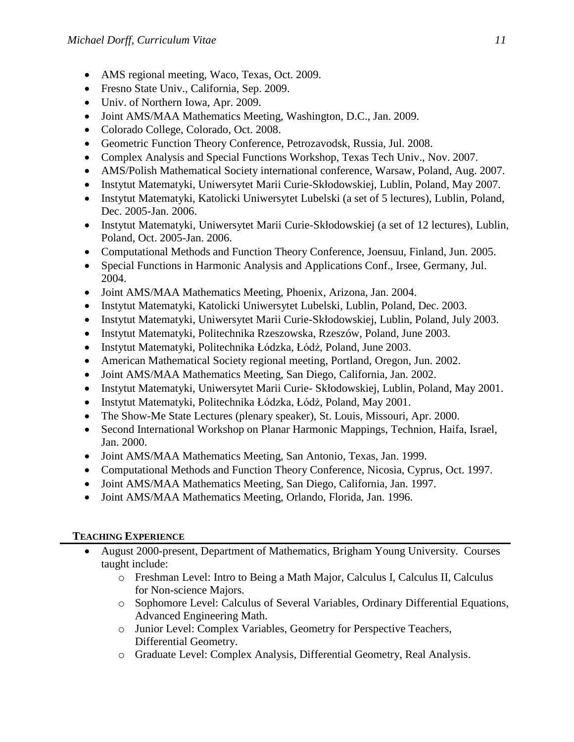- AMS regional meeting, Waco, Texas, Oct. 2009.
- Fresno State Univ., California, Sep. 2009.
- Univ. of Northern Iowa, Apr. 2009.
- Joint AMS/MAA Mathematics Meeting, Washington, D.C., Jan. 2009.
- Colorado College, Colorado, Oct. 2008.
- Geometric Function Theory Conference, Petrozavodsk, Russia, Jul. 2008.
- Complex Analysis and Special Functions Workshop, Texas Tech Univ., Nov. 2007.
- AMS/Polish Mathematical Society international conference, Warsaw, Poland, Aug. 2007.
- Instytut Matematyki, Uniwersytet Marii Curie-Skłodowskiej, Lublin, Poland, May 2007.
- Instytut Matematyki, Katolicki Uniwersytet Lubelski (a set of 5 lectures), Lublin, Poland, Dec. 2005-Jan. 2006.
- Instytut Matematyki, Uniwersytet Marii Curie-Skłodowskiej (a set of 12 lectures), Lublin, Poland, Oct. 2005-Jan. 2006.
- Computational Methods and Function Theory Conference, Joensuu, Finland, Jun. 2005.
- Special Functions in Harmonic Analysis and Applications Conf., Irsee, Germany, Jul. 2004.
- Joint AMS/MAA Mathematics Meeting, Phoenix, Arizona, Jan. 2004.
- Instytut Matematyki, Katolicki Uniwersytet Lubelski, Lublin, Poland, Dec. 2003.
- Instytut Matematyki, Uniwersytet Marii Curie-Skłodowskiej, Lublin, Poland, July 2003.
- Instytut Matematyki, Politechnika Rzeszowska, Rzeszów, Poland, June 2003.
- Instytut Matematyki, Politechnika Łódzka, Łódż, Poland, June 2003.
- American Mathematical Society regional meeting, Portland, Oregon, Jun. 2002.
- Joint AMS/MAA Mathematics Meeting, San Diego, California, Jan. 2002.
- Instytut Matematyki, Uniwersytet Marii Curie- Skłodowskiej, Lublin, Poland, May 2001.
- Instytut Matematyki, Politechnika Łódzka, Łódż, Poland, May 2001.
- The Show-Me State Lectures (plenary speaker), St. Louis, Missouri, Apr. 2000.
- Second International Workshop on Planar Harmonic Mappings, Technion, Haifa, Israel, Jan. 2000.
- Joint AMS/MAA Mathematics Meeting, San Antonio, Texas, Jan. 1999.
- Computational Methods and Function Theory Conference, Nicosia, Cyprus, Oct. 1997.
- Joint AMS/MAA Mathematics Meeting, San Diego, California, Jan. 1997.
- Joint AMS/MAA Mathematics Meeting, Orlando, Florida, Jan. 1996.

# **TEACHING EXPERIENCE**

- August 2000-present, Department of Mathematics, Brigham Young University. Courses taught include:
	- o Freshman Level: Intro to Being a Math Major, Calculus I, Calculus II, Calculus for Non-science Majors.
	- o Sophomore Level: Calculus of Several Variables, Ordinary Differential Equations, Advanced Engineering Math.
	- o Junior Level: Complex Variables, Geometry for Perspective Teachers, Differential Geometry.
	- o Graduate Level: Complex Analysis, Differential Geometry, Real Analysis.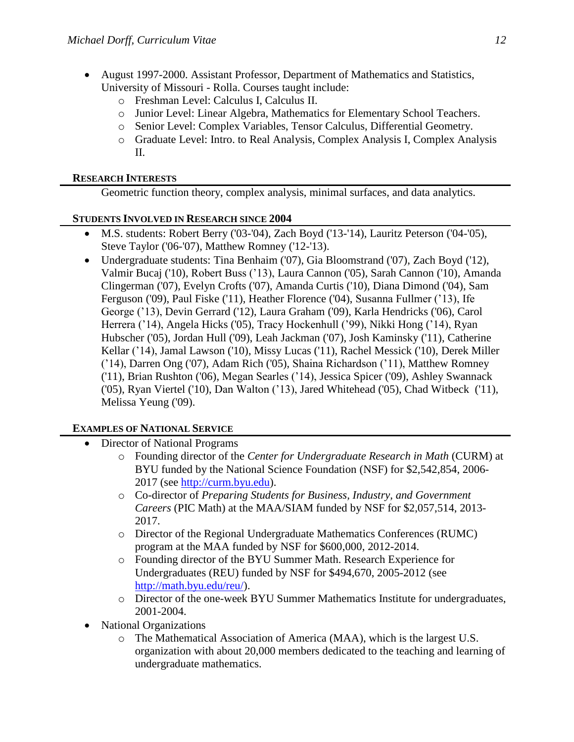- August 1997-2000. Assistant Professor, Department of Mathematics and Statistics, University of Missouri - Rolla. Courses taught include:
	- o Freshman Level: Calculus I, Calculus II.
	- o Junior Level: Linear Algebra, Mathematics for Elementary School Teachers.
	- o Senior Level: Complex Variables, Tensor Calculus, Differential Geometry.
	- o Graduate Level: Intro. to Real Analysis, Complex Analysis I, Complex Analysis II.

#### **RESEARCH INTERESTS**

Geometric function theory, complex analysis, minimal surfaces, and data analytics.

#### **STUDENTS INVOLVED IN RESEARCH SINCE 2004**

- M.S. students: Robert Berry ('03-'04), Zach Boyd ('13-'14), Lauritz Peterson ('04-'05), Steve Taylor ('06-'07), Matthew Romney ('12-'13).
- Undergraduate students: Tina Benhaim ('07), Gia Bloomstrand ('07), Zach Boyd ('12), Valmir Bucaj ('10), Robert Buss ('13), Laura Cannon ('05), Sarah Cannon ('10), Amanda Clingerman ('07), Evelyn Crofts ('07), Amanda Curtis ('10), Diana Dimond ('04), Sam Ferguson ('09), Paul Fiske ('11), Heather Florence ('04), Susanna Fullmer ('13), Ife George ('13), Devin Gerrard ('12), Laura Graham ('09), Karla Hendricks ('06), Carol Herrera ('14), Angela Hicks ('05), Tracy Hockenhull ('99), Nikki Hong ('14), Ryan Hubscher ('05), Jordan Hull ('09), Leah Jackman ('07), Josh Kaminsky ('11), Catherine Kellar ('14), Jamal Lawson ('10), Missy Lucas ('11), Rachel Messick ('10), Derek Miller ('14), Darren Ong ('07), Adam Rich ('05), Shaina Richardson ('11), Matthew Romney ('11), Brian Rushton ('06), Megan Searles ('14), Jessica Spicer ('09), Ashley Swannack ('05), Ryan Viertel ('10), Dan Walton ('13), Jared Whitehead ('05), Chad Witbeck ('11), Melissa Yeung ('09).

#### **EXAMPLES OF NATIONAL SERVICE**

- Director of National Programs
	- o Founding director of the *Center for Undergraduate Research in Math* (CURM) at BYU funded by the National Science Foundation (NSF) for \$2,542,854, 2006- 2017 (see [http://curm.byu.edu\)](http://curm.byu.edu/).
	- o Co-director of *Preparing Students for Business, Industry, and Government Careers* (PIC Math) at the MAA/SIAM funded by NSF for \$2,057,514, 2013- 2017.
	- o Director of the Regional Undergraduate Mathematics Conferences (RUMC) program at the MAA funded by NSF for \$600,000, 2012-2014.
	- o Founding director of the BYU Summer Math. Research Experience for Undergraduates (REU) funded by NSF for \$494,670, 2005-2012 (see [http://math.byu.edu/reu/\)](http://math.byu.edu/reu/).
	- o Director of the one-week BYU Summer Mathematics Institute for undergraduates, 2001-2004.
- National Organizations
	- o The Mathematical Association of America (MAA), which is the largest U.S. organization with about 20,000 members dedicated to the teaching and learning of undergraduate mathematics.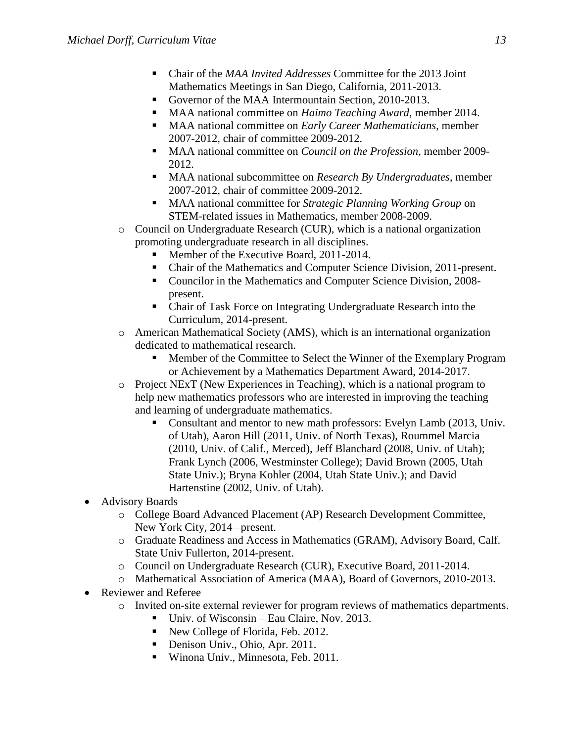- Chair of the *MAA Invited Addresses* Committee for the 2013 Joint Mathematics Meetings in San Diego, California, 2011-2013.
- Governor of the MAA Intermountain Section, 2010-2013.
- MAA national committee on *Haimo Teaching Award*, member 2014.
- MAA national committee on *Early Career Mathematicians*, member 2007-2012, chair of committee 2009-2012.
- MAA national committee on *Council on the Profession*, member 2009- 2012.
- MAA national subcommittee on *Research By Undergraduates*, member 2007-2012, chair of committee 2009-2012.
- MAA national committee for *Strategic Planning Working Group* on STEM-related issues in Mathematics, member 2008-2009.
- $\circ$  Council on Undergraduate Research (CUR), which is a national organization promoting undergraduate research in all disciplines.
	- Member of the Executive Board, 2011-2014.
	- Chair of the Mathematics and Computer Science Division, 2011-present.
	- Councilor in the Mathematics and Computer Science Division, 2008present.
	- Chair of Task Force on Integrating Undergraduate Research into the Curriculum, 2014-present.
- o American Mathematical Society (AMS), which is an international organization dedicated to mathematical research.
	- Member of the Committee to Select the Winner of the Exemplary Program or Achievement by a Mathematics Department Award, 2014-2017.
- o Project NExT (New Experiences in Teaching), which is a national program to help new mathematics professors who are interested in improving the teaching and learning of undergraduate mathematics.
	- Consultant and mentor to new math professors: Evelyn Lamb (2013, Univ. of Utah), Aaron Hill (2011, Univ. of North Texas), Roummel Marcia (2010, Univ. of Calif., Merced), Jeff Blanchard (2008, Univ. of Utah); Frank Lynch (2006, Westminster College); David Brown (2005, Utah State Univ.); Bryna Kohler (2004, Utah State Univ.); and David Hartenstine (2002, Univ. of Utah).
- Advisory Boards
	- o College Board Advanced Placement (AP) Research Development Committee, New York City, 2014 –present.
	- o Graduate Readiness and Access in Mathematics (GRAM), Advisory Board, Calf. State Univ Fullerton, 2014-present.
	- o Council on Undergraduate Research (CUR), Executive Board, 2011-2014.
	- o Mathematical Association of America (MAA), Board of Governors, 2010-2013.
- Reviewer and Referee
	- o Invited on-site external reviewer for program reviews of mathematics departments.
		- Univ. of Wisconsin Eau Claire, Nov. 2013.
		- New College of Florida, Feb. 2012.
		- Denison Univ., Ohio, Apr. 2011.
		- Winona Univ., Minnesota, Feb. 2011.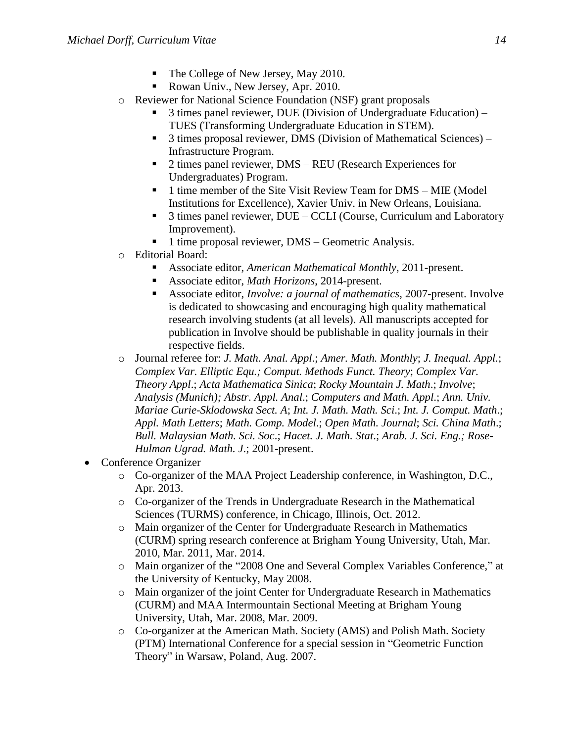- The College of New Jersey, May 2010.
- Rowan Univ., New Jersey, Apr. 2010.
- o Reviewer for National Science Foundation (NSF) grant proposals
	- 3 times panel reviewer, DUE (Division of Undergraduate Education) TUES (Transforming Undergraduate Education in STEM).
	- 3 times proposal reviewer, DMS (Division of Mathematical Sciences) Infrastructure Program.
	- 2 times panel reviewer, DMS REU (Research Experiences for Undergraduates) Program.
	- 1 time member of the Site Visit Review Team for DMS MIE (Model Institutions for Excellence), Xavier Univ. in New Orleans, Louisiana.
	- 3 times panel reviewer, DUE CCLI (Course, Curriculum and Laboratory Improvement).
	- 1 time proposal reviewer, DMS Geometric Analysis.
- o Editorial Board:
	- Associate editor, *American Mathematical Monthly*, 2011-present.
	- Associate editor, *Math Horizons*, 2014-present.
	- Associate editor, *Involve: a journal of mathematics*, 2007-present. Involve is dedicated to showcasing and encouraging high quality mathematical research involving students (at all levels). All manuscripts accepted for publication in Involve should be publishable in quality journals in their respective fields.
- o Journal referee for: *J. Math. Anal. Appl*.; *Amer. Math. Monthly*; *J. Inequal. Appl.*; *Complex Var. Elliptic Equ.; Comput. Methods Funct. Theory*; *Complex Var. Theory Appl*.; *Acta Mathematica Sinica*; *Rocky Mountain J. Math*.; *Involve*; *Analysis (Munich); Abstr. Appl. Anal*.; *Computers and Math. Appl*.; *Ann. Univ. Mariae Curie-Sklodowska Sect. A*; *Int. J. Math. Math. Sci*.; *Int. J. Comput. Math*.; *Appl. Math Letters*; *Math. Comp. Model*.; *Open Math. Journal*; *Sci. China Math*.; *Bull. Malaysian Math. Sci. Soc*.; *Hacet. J. Math. Stat*.; *Arab. J. Sci. Eng.; Rose-Hulman Ugrad. Math. J*.; 2001-present.
- Conference Organizer
	- o Co-organizer of the MAA Project Leadership conference, in Washington, D.C., Apr. 2013.
	- o Co-organizer of the Trends in Undergraduate Research in the Mathematical Sciences (TURMS) conference, in Chicago, Illinois, Oct. 2012.
	- o Main organizer of the Center for Undergraduate Research in Mathematics (CURM) spring research conference at Brigham Young University, Utah, Mar. 2010, Mar. 2011, Mar. 2014.
	- o Main organizer of the "2008 One and Several Complex Variables Conference," at the University of Kentucky, May 2008.
	- o Main organizer of the joint Center for Undergraduate Research in Mathematics (CURM) and MAA Intermountain Sectional Meeting at Brigham Young University, Utah, Mar. 2008, Mar. 2009.
	- o Co-organizer at the American Math. Society (AMS) and Polish Math. Society (PTM) International Conference for a special session in "Geometric Function Theory" in Warsaw, Poland, Aug. 2007.